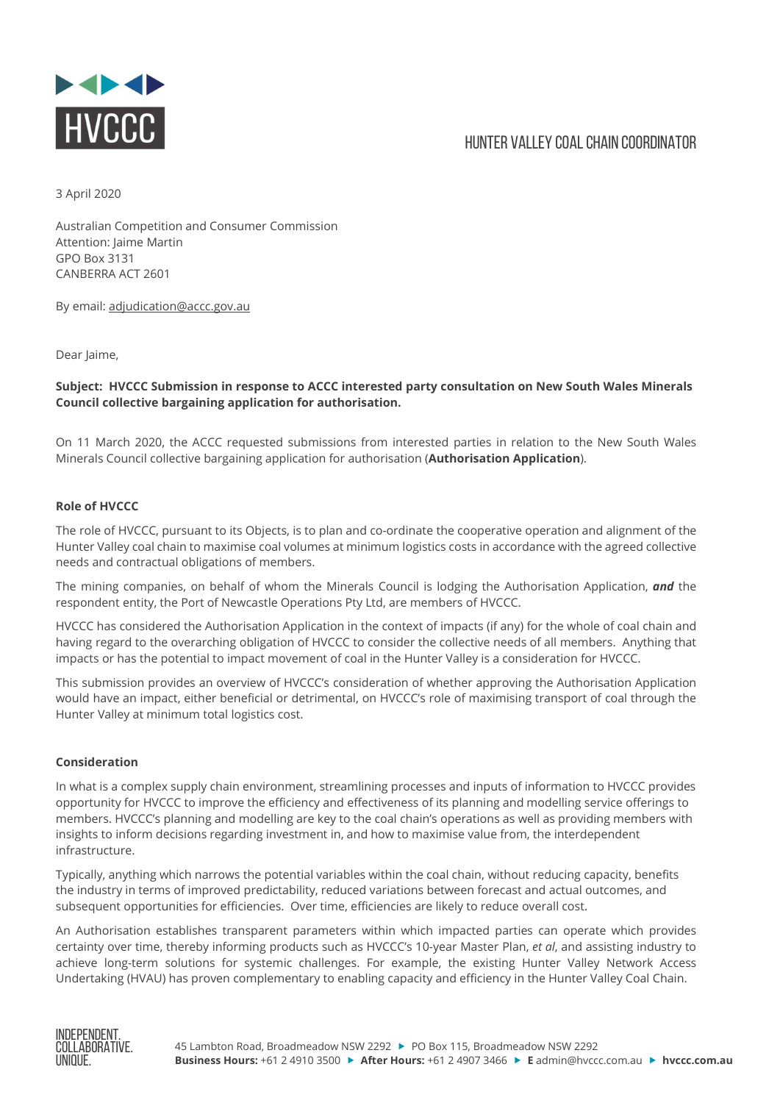

## HUNTER VALLEY COAL CHAIN COORDINATOR

3 April 2020

Australian Competition and Consumer Commission Attention: Jaime Martin GPO Box 3131 CANBERRA ACT 2601

By email: adjudication@accc.gov.au

Dear laime.

Subject: HVCCC Submission in response to ACCC interested party consultation on New South Wales Minerals Council collective bargaining application for authorisation.

On 11 March 2020, the ACCC requested submissions from interested parties in relation to the New South Wales Minerals Council collective bargaining application for authorisation (Authorisation Application).

## Role of HVCCC

The role of HVCCC, pursuant to its Objects, is to plan and co-ordinate the cooperative operation and alignment of the Hunter Valley coal chain to maximise coal volumes at minimum logistics costs in accordance with the agreed collective needs and contractual obligations of members.

The mining companies, on behalf of whom the Minerals Council is lodging the Authorisation Application, and the respondent entity, the Port of Newcastle Operations Pty Ltd, are members of HVCCC.

HVCCC has considered the Authorisation Application in the context of impacts (if any) for the whole of coal chain and having regard to the overarching obligation of HVCCC to consider the collective needs of all members. Anything that impacts or has the potential to impact movement of coal in the Hunter Valley is a consideration for HVCCC.

This submission provides an overview of HVCCC's consideration of whether approving the Authorisation Application would have an impact, either beneficial or detrimental, on HVCCC's role of maximising transport of coal through the Hunter Valley at minimum total logistics cost.

## Consideration

In what is a complex supply chain environment, streamlining processes and inputs of information to HVCCC provides opportunity for HVCCC to improve the efficiency and effectiveness of its planning and modelling service offerings to members. HVCCC's planning and modelling are key to the coal chain's operations as well as providing members with insights to inform decisions regarding investment in, and how to maximise value from, the interdependent infrastructure.

Typically, anything which narrows the potential variables within the coal chain, without reducing capacity, benefits the industry in terms of improved predictability, reduced variations between forecast and actual outcomes, and subsequent opportunities for efficiencies. Over time, efficiencies are likely to reduce overall cost.

An Authorisation establishes transparent parameters within which impacted parties can operate which provides certainty over time, thereby informing products such as HVCCC's 10-year Master Plan, et al, and assisting industry to achieve long-term solutions for systemic challenges. For example, the existing Hunter Valley Network Access Undertaking (HVAU) has proven complementary to enabling capacity and efficiency in the Hunter Valley Coal Chain.